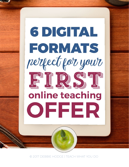

© 2017 DEBBIE HODGE | TEACH WHAT YOU DO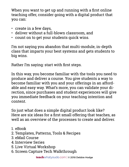When you want to get up and running with a first online teaching offer, consider going with a digital product that you can:

- create in a few days,
- deliver without a full-blown classroom, and
- count on to get your students quick wins.

I'm not saying you abandon that multi-module, in-depth class that imparts your best systems and gets students to big wins.

Rather I'm saying: start with first steps.

In this way, you become familiar with the tools you need to produce and deliver a course. You give students a way to become familiar with you and your offerings in an affordable and easy way. What's more, you can validate your direction, since purchases and student experiences will give you immediate feedback on your teaching intention and content.

So just what does a simple digital product look like? Here are six ideas for a first small offering that teaches, as well as an overview of the processes to create and deliver.

- 1. eBook
- 2. Templates, Patterns, Tools & Recipes
- 3. eMail Course
- 4. Interview Series
- 5. Live Virtual Workshop
- 6. Screen Capture Tech Walkthrough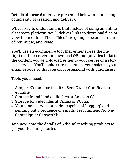Details of these 6 offers are presented below in increasing complexity of creation and delivery.

What's key to understand is that instead of using an online classroom platform, you'll deliver links to download files or view them online. Those "files" are going to be one or more of: pdf, audio, and video.

You'll use an ecommerce tool that either stores the file right on their server for download OR that provides links to the content you've uploaded either to your server or a storage service. You'll make sure to connect your sales to your email service so that you can correspond with purchasers.

Tools you'll need:

- 1. Simple eCommerce tool like SendOwl or GumRoad or eJunkie
- 2. Storage for pdf and audio files at Amazon S3.
- 3. Storage for video files at Vimeo or Wistia.
- 4. Your email service provider capable of "tagging" and sending out a sequence of emails. I recommend Active-Campaign or ConvertKit.

And now onto the details of 6 digital teaching products to get your teaching started.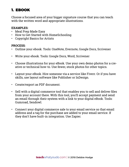# 1. EBOOK

Choose a focused area of your bigger signature course that you can teach with the written word and appropriate illustrations.

#### **EXAMPLES:**

- Meal Prep Made Easy
- How to Get Started with HomeSchooling
- Copyright Basics for Artists

- Outline your ebook. Tools: OneNote, Evernote, Google Docs, Scrivener
- Write your ebook. Tools: Google Docs, Word, Scrivener
- Choose illustrations for your eBook. Use your own demo photos for a creative or technical how-to. Use fewer, stock photos for other topics.
- Layout your eBook. Hire someone via a service like Fiverr. Or if you have skills, use layout software like Publisher or InDesign.
- Create/export as PDF document.
- Sell with a digital commerce tool that enables you to sell and deliver files from your account there. With this tool, you'll accept payment and send an email through their system with a link to your digital eBook. Tools: Gumroad, Sendowl.
- Connect your digital commerce sale to your email service so that email address and a tag for the purchase are added to your email service. If they don't have built-in integration. Use Zapier.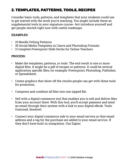# 2. TEMPLATES, PATTERNS, TOOLS, RECIPES

Consider basic tools, patterns, and templates that your students could use to get started with the work you're teaching. You might include these as supplemental tools in your signature course--but introduce yourself and get people started right now with useful roadmaps.

### **EXAMPLES:**

- 10 Needle Felting Patterns
- 35 Social Media Templates in Canva and Photoshop Formats
- 3 Complete Powerpoint Slide Decks for Online Teachers

- Make the templates, patterns, or tools. The end result is one or more digital files. It might be a pdf of recipes or patterns. It could be several application specific files, for example: Powerpoint, Photoshop, Publisher, or Spreadsheet.
- Create graphics that show off the results people can get with these tools for promotion.
- Compress and combine all files into one zipped file.
- Sell with a digital commerce tool that enables you to sell and deliver files from your account there. With this tool, you'll accept payment and send an email through their system with a link to your digital eBook. Tools: Gumroad, Sendowl.
- Connect your digital commerce sale to your email service so that email address and a tag for the purchase are added to your email service. If they don't have built-in integration. Use Zapier.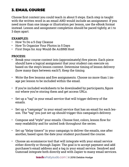# 3. EMAIL COURSE

Choose first content you could teach in about 5 steps. Each step is taught with the written word in an email AND would include an assignment. If you need more than one image or illustration per lesson, use the eBook format instead. Lesson and assignment completion should be paced tightly, at 1 to 3 days apart.

### **EXAMPLES:**

- How To Do a 5-Day Cleanse
- How To Organize Your Photos in 5 Days
- First Steps for Any Would-Be AirBNB Host

- Break your course content into (approximately) five pieces. Each piece should have a logical assignment that your student can execute on based on the step's lesson content. Determine timing of lesson delivery (how many days between each?). Keep the timing
- Write the five lessons and five assignments. Choose no more than 1 image per lesson to be included within the email.
- If you're included worksheets to be downloaded by participants, figure out where you're storing them and get access URLs.
- Set up a "tag" in your email service that will trigger delivery of the emails.
- Set up a "campaign" in your email service that has an email for each lesson. The "tag" you just set up should trigger this campaign's delivery.
- Compose and "style" your emails. Choose font, colors, lesson flow for easy readability and for united look throughout the series.
- Set up "delay timers" in your campaign to deliver the emails, one after another, based upon the date your student purchased the course.
- Choose an ecommerce tool that will integrate with your email service either directly or through Zapier. The goal is to accept payment and add purchaser's email address and a tag in your email service. Sendowl and Gumroad integrate both directly and with Zapier to many email services.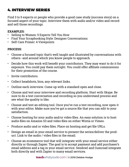# 4. INTERVIEW SERIES

Find 3 to 5 experts or people who provide a good case study (success story) on a focused aspect of your topic. Interview them with audio and/or video and record and sell those recordings.

### **EXAMPLES:**

- Selling to Women: 5 Experts Tell You How
- Find Your Scrapbooking Style: Designer Conversations
- Self-Care Primer: 4 Viewpoints

- Choose a focused topic that's well taught and illustrated by conversations with others--and around which you know people to approach.
- Decide how this work will benefit your contributors. They may want to do it for exposure. You could pay them outright. You could offer affiliate commissions for their promotion of the course.
- Invite contributors.
- Collect headshots, bios, any relevant links.
- Outline each interview. Come up with a standard open and close.
- Choose and test your interview and recording platform. Start with Skype. Be sure to do a test conversation and recording so you understand process and see what the quality is like.
- Choose and test an editing tool. Once you've run a test recording, now open it with your editor. Make sure you've got a source file that you can edit to your satisfaction.
- Choose hosting for your audio and/or video files. An easy solution is to host audio files on Amazon S3 and video files on either Wistia or Vimeo.
- Produce audio and or video files. Place on hosting and get file URLs.
- Design an email in your email service to present the series/deliver the product. Link to the audio / video files in the email.
- Choose an ecommerce tool that will integrate with your email service either directly or through Zapier. The goal is to accept payment and add purchaser's email address and a tag in your email service. Sendowl and Gumroad integrate both directly and with Zapier to many email services.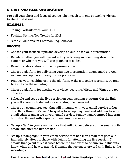# 5. LIVE VIRTUAL WORKSHOP

Pre-sell your short and focused course. Then teach it in one or two live virtual (webinar) sessions.

### **EXAMPLES**:

- Taking Portraits with Your DSLR
- Fashion Styling: Top Trends for 2018
- Simple Solutions for Common Dog Behavior

- Choose your focused topic and develop an outline for your presentation.
- Decide whether you will present with you talking and demoing straight to camera or whether you will use graphics or slides.
- Develop slides and/or outline for presentation.
- Choose a platform for delivering your live presentation. Zoom and GoToWebinar are two popular and easy-to-use platforms.
- Practice your teaching using the platform. Make a practice recording. Do practice edits on the recording.
- Choose a platform for hosting your video recording. Wistia and Vimeo are top choices.
- Schedule and set up the live session on your webinar platform. Get the link you will share with students for attending the live event.
- Choose an ecommerce tool that will integrate with your email service either directly or through Zapier. The goal is to accept payment and add purchaser's email address and a tag in your email service. Sendowl and Gumroad integrate both directly and with Zapier to many email services.
- Set up a "tag" in your email service that will trigger delivery of the emails both before and after the live session.
- Set up a "campaign" in your email service that has 1) an email that goes out immediately after purchase with details for attending the live session; 2) emails that go out at least twice before the live event to be sure your students know when and how to attend; 3) emails that go out afterward with links to the recordings.
- Host the session. **Teach** and tyecord. Upload core bing Hodgeur hosting and be